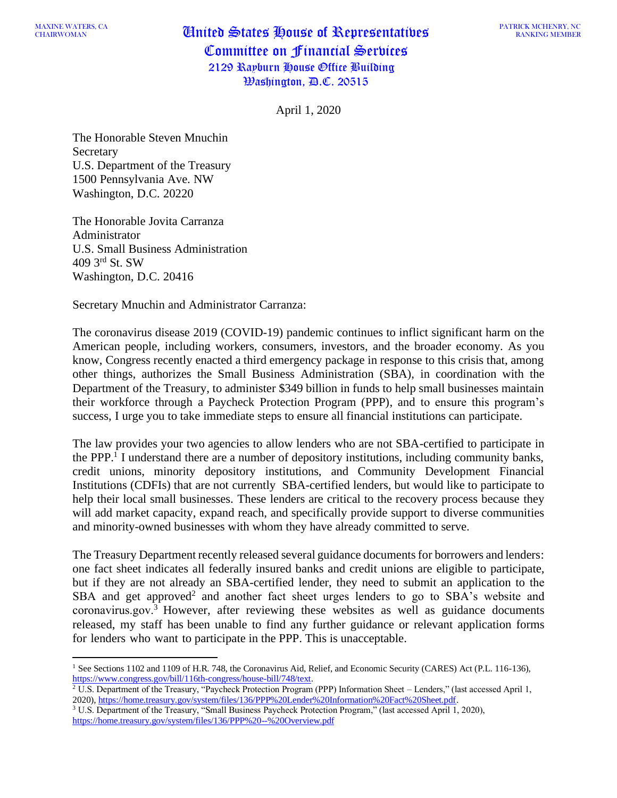## MAAINE WATERS, CA **United States House of Representatives** Committee on Financial Services 2129 Rayburn House Office Building Washington, D.C. 20515

April 1, 2020

The Honorable Steven Mnuchin **Secretary** U.S. Department of the Treasury 1500 Pennsylvania Ave. NW Washington, D.C. 20220

The Honorable Jovita Carranza Administrator U.S. Small Business Administration 409 3 rd St. SW Washington, D.C. 20416

Secretary Mnuchin and Administrator Carranza:

The coronavirus disease 2019 (COVID-19) pandemic continues to inflict significant harm on the American people, including workers, consumers, investors, and the broader economy. As you know, Congress recently enacted a third emergency package in response to this crisis that, among other things, authorizes the Small Business Administration (SBA), in coordination with the Department of the Treasury, to administer \$349 billion in funds to help small businesses maintain their workforce through a Paycheck Protection Program (PPP), and to ensure this program's success, I urge you to take immediate steps to ensure all financial institutions can participate.

The law provides your two agencies to allow lenders who are not SBA-certified to participate in the PPP.<sup>1</sup> I understand there are a number of depository institutions, including community banks, credit unions, minority depository institutions, and Community Development Financial Institutions (CDFIs) that are not currently SBA-certified lenders, but would like to participate to help their local small businesses. These lenders are critical to the recovery process because they will add market capacity, expand reach, and specifically provide support to diverse communities and minority-owned businesses with whom they have already committed to serve.

The Treasury Department recently released several guidance documents for borrowers and lenders: one fact sheet indicates all federally insured banks and credit unions are eligible to participate, but if they are not already an SBA-certified lender, they need to submit an application to the SBA and get approved<sup>2</sup> and another fact sheet urges lenders to go to SBA's website and coronavirus.gov.<sup>3</sup> However, after reviewing these websites as well as guidance documents released, my staff has been unable to find any further guidance or relevant application forms for lenders who want to participate in the PPP. This is unacceptable.

<sup>1</sup> See Sections 1102 and 1109 of H.R. 748, the Coronavirus Aid, Relief, and Economic Security (CARES) Act (P.L. 116-136), [https://www.congress.gov/bill/116th-congress/house-bill/748/text.](https://www.congress.gov/bill/116th-congress/house-bill/748/text)

<sup>2</sup> U.S. Department of the Treasury, "Paycheck Protection Program (PPP) Information Sheet – Lenders," (last accessed April 1, 2020)[, https://home.treasury.gov/system/files/136/PPP%20Lender%20Information%20Fact%20Sheet.pdf.](https://home.treasury.gov/system/files/136/PPP%20Lender%20Information%20Fact%20Sheet.pdf)

<sup>3</sup> U.S. Department of the Treasury, "Small Business Paycheck Protection Program," (last accessed April 1, 2020), <https://home.treasury.gov/system/files/136/PPP%20--%20Overview.pdf>